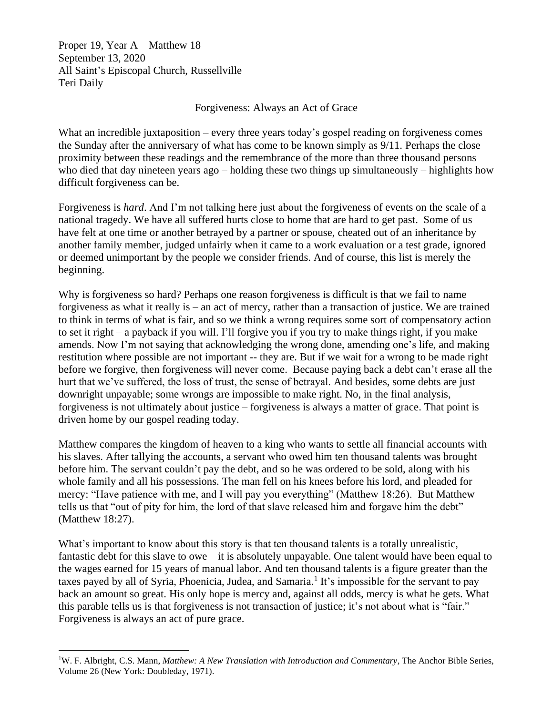Proper 19, Year A—Matthew 18 September 13, 2020 All Saint's Episcopal Church, Russellville Teri Daily

## Forgiveness: Always an Act of Grace

What an incredible juxtaposition – every three years today's gospel reading on forgiveness comes the Sunday after the anniversary of what has come to be known simply as 9/11. Perhaps the close proximity between these readings and the remembrance of the more than three thousand persons who died that day nineteen years ago – holding these two things up simultaneously – highlights how difficult forgiveness can be.

Forgiveness is *hard*. And I'm not talking here just about the forgiveness of events on the scale of a national tragedy. We have all suffered hurts close to home that are hard to get past. Some of us have felt at one time or another betrayed by a partner or spouse, cheated out of an inheritance by another family member, judged unfairly when it came to a work evaluation or a test grade, ignored or deemed unimportant by the people we consider friends. And of course, this list is merely the beginning.

Why is forgiveness so hard? Perhaps one reason forgiveness is difficult is that we fail to name forgiveness as what it really is – an act of mercy, rather than a transaction of justice. We are trained to think in terms of what is fair, and so we think a wrong requires some sort of compensatory action to set it right – a payback if you will. I'll forgive you if you try to make things right, if you make amends. Now I'm not saying that acknowledging the wrong done, amending one's life, and making restitution where possible are not important -- they are. But if we wait for a wrong to be made right before we forgive, then forgiveness will never come. Because paying back a debt can't erase all the hurt that we've suffered, the loss of trust, the sense of betrayal. And besides, some debts are just downright unpayable; some wrongs are impossible to make right. No, in the final analysis, forgiveness is not ultimately about justice – forgiveness is always a matter of grace. That point is driven home by our gospel reading today.

Matthew compares the kingdom of heaven to a king who wants to settle all financial accounts with his slaves. After tallying the accounts, a servant who owed him ten thousand talents was brought before him. The servant couldn't pay the debt, and so he was ordered to be sold, along with his whole family and all his possessions. The man fell on his knees before his lord, and pleaded for mercy: "Have patience with me, and I will pay you everything" (Matthew 18:26). But Matthew tells us that "out of pity for him, the lord of that slave released him and forgave him the debt" (Matthew 18:27).

What's important to know about this story is that ten thousand talents is a totally unrealistic, fantastic debt for this slave to owe – it is absolutely unpayable. One talent would have been equal to the wages earned for 15 years of manual labor. And ten thousand talents is a figure greater than the taxes payed by all of Syria, Phoenicia, Judea, and Samaria.<sup>1</sup> It's impossible for the servant to pay back an amount so great. His only hope is mercy and, against all odds, mercy is what he gets. What this parable tells us is that forgiveness is not transaction of justice; it's not about what is "fair." Forgiveness is always an act of pure grace.

<sup>1</sup>W. F. Albright, C.S. Mann, *Matthew: A New Translation with Introduction and Commentary,* The Anchor Bible Series, Volume 26 (New York: Doubleday, 1971).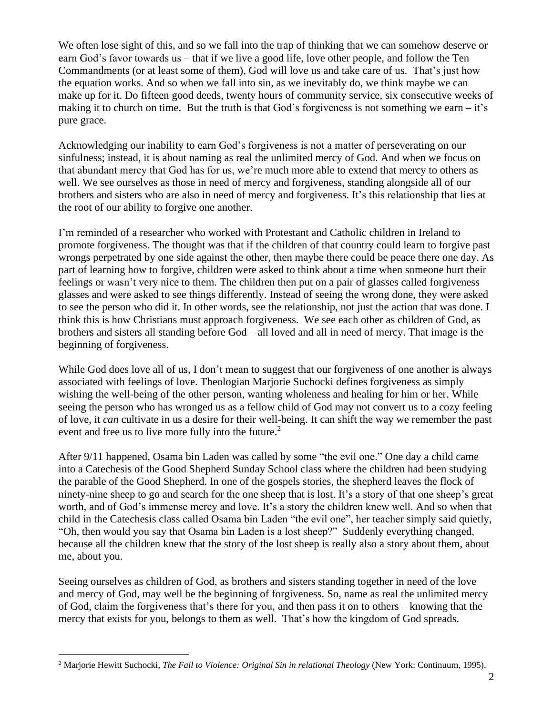We often lose sight of this, and so we fall into the trap of thinking that we can somehow deserve or earn God's favor towards us – that if we live a good life, love other people, and follow the Ten Commandments (or at least some of them), God will love us and take care of us. That's just how the equation works. And so when we fall into sin, as we inevitably do, we think maybe we can make up for it. Do fifteen good deeds, twenty hours of community service, six consecutive weeks of making it to church on time. But the truth is that God's forgiveness is not something we earn  $-i\mathbf{t}'s$ pure grace.

Acknowledging our inability to earn God's forgiveness is not a matter of perseverating on our sinfulness; instead, it is about naming as real the unlimited mercy of God. And when we focus on that abundant mercy that God has for us, we're much more able to extend that mercy to others as well. We see ourselves as those in need of mercy and forgiveness, standing alongside all of our brothers and sisters who are also in need of mercy and forgiveness. It's this relationship that lies at the root of our ability to forgive one another.

I'm reminded of a researcher who worked with Protestant and Catholic children in Ireland to promote forgiveness. The thought was that if the children of that country could learn to forgive past wrongs perpetrated by one side against the other, then maybe there could be peace there one day. As part of learning how to forgive, children were asked to think about a time when someone hurt their feelings or wasn't very nice to them. The children then put on a pair of glasses called forgiveness glasses and were asked to see things differently. Instead of seeing the wrong done, they were asked to see the person who did it. In other words, see the relationship, not just the action that was done. I think this is how Christians must approach forgiveness. We see each other as children of God, as brothers and sisters all standing before God – all loved and all in need of mercy. That image is the beginning of forgiveness.

While God does love all of us, I don't mean to suggest that our forgiveness of one another is always associated with feelings of love. Theologian Marjorie Suchocki defines forgiveness as simply wishing the well-being of the other person, wanting wholeness and healing for him or her. While seeing the person who has wronged us as a fellow child of God may not convert us to a cozy feeling of love, it *can* cultivate in us a desire for their well-being. It can shift the way we remember the past event and free us to live more fully into the future.<sup>2</sup>

After 9/11 happened, Osama bin Laden was called by some "the evil one." One day a child came into a Catechesis of the Good Shepherd Sunday School class where the children had been studying the parable of the Good Shepherd. In one of the gospels stories, the shepherd leaves the flock of ninety-nine sheep to go and search for the one sheep that is lost. It's a story of that one sheep's great worth, and of God's immense mercy and love. It's a story the children knew well. And so when that child in the Catechesis class called Osama bin Laden "the evil one", her teacher simply said quietly, "Oh, then would you say that Osama bin Laden is a lost sheep?" Suddenly everything changed, because all the children knew that the story of the lost sheep is really also a story about them, about me, about you.

Seeing ourselves as children of God, as brothers and sisters standing together in need of the love and mercy of God, may well be the beginning of forgiveness. So, name as real the unlimited mercy of God, claim the forgiveness that's there for you, and then pass it on to others – knowing that the mercy that exists for you, belongs to them as well. That's how the kingdom of God spreads.

<sup>2</sup> Marjorie Hewitt Suchocki, *The Fall to Violence: Original Sin in relational Theology* (New York: Continuum, 1995).